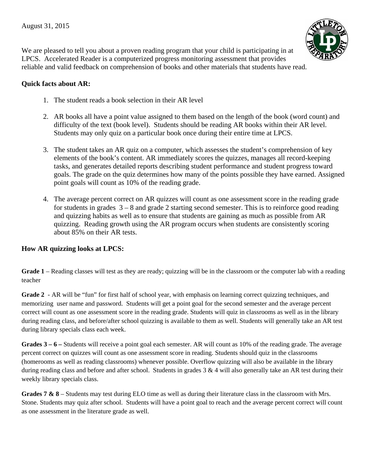

We are pleased to tell you about a proven reading program that your child is participating in at LPCS. Accelerated Reader is a computerized progress monitoring assessment that provides reliable and valid feedback on comprehension of books and other materials that students have read.

## **Quick facts about AR:**

- 1. The student reads a book selection in their AR level
- 2. AR books all have a point value assigned to them based on the length of the book (word count) and difficulty of the text (book level). Students should be reading AR books within their AR level. Students may only quiz on a particular book once during their entire time at LPCS.
- 3. The student takes an AR quiz on a computer, which assesses the student's comprehension of key elements of the book's content. AR immediately scores the quizzes, manages all record-keeping tasks, and generates detailed reports describing student performance and student progress toward goals. The grade on the quiz determines how many of the points possible they have earned. Assigned point goals will count as 10% of the reading grade.
- 4. The average percent correct on AR quizzes will count as one assessment score in the reading grade for students in grades  $3 - 8$  and grade 2 starting second semester. This is to reinforce good reading and quizzing habits as well as to ensure that students are gaining as much as possible from AR quizzing. Reading growth using the AR program occurs when students are consistently scoring about 85% on their AR tests.

## **How AR quizzing looks at LPCS:**

**Grade 1** – Reading classes will test as they are ready; quizzing will be in the classroom or the computer lab with a reading teacher

**Grade 2** - AR will be "fun" for first half of school year, with emphasis on learning correct quizzing techniques, and memorizing user name and password. Students will get a point goal for the second semester and the average percent correct will count as one assessment score in the reading grade. Students will quiz in classrooms as well as in the library during reading class, and before/after school quizzing is available to them as well. Students will generally take an AR test during library specials class each week.

**Grades 3 – 6 –** Students will receive a point goal each semester. AR will count as 10% of the reading grade. The average percent correct on quizzes will count as one assessment score in reading. Students should quiz in the classrooms (homerooms as well as reading classrooms) whenever possible. Overflow quizzing will also be available in the library during reading class and before and after school. Students in grades  $3 \& 4$  will also generally take an AR test during their weekly library specials class.

**Grades 7 & 8** – Students may test during ELO time as well as during their literature class in the classroom with Mrs. Stone. Students may quiz after school. Students will have a point goal to reach and the average percent correct will count as one assessment in the literature grade as well.